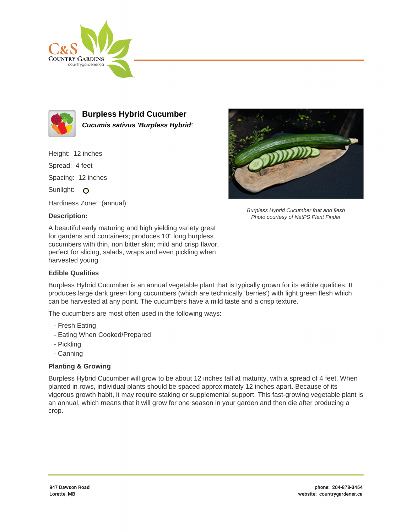



**Burpless Hybrid Cucumber Cucumis sativus 'Burpless Hybrid'**

Height: 12 inches

Spread: 4 feet

Spacing: 12 inches

Sunlight: O

Hardiness Zone: (annual)

## **Description:**

Burpless Hybrid Cucumber fruit and flesh Photo courtesy of NetPS Plant Finder

A beautiful early maturing and high yielding variety great for gardens and containers; produces 10" long burpless cucumbers with thin, non bitter skin; mild and crisp flavor, perfect for slicing, salads, wraps and even pickling when harvested young

## **Edible Qualities**

Burpless Hybrid Cucumber is an annual vegetable plant that is typically grown for its edible qualities. It produces large dark green long cucumbers (which are technically 'berries') with light green flesh which can be harvested at any point. The cucumbers have a mild taste and a crisp texture.

The cucumbers are most often used in the following ways:

- Fresh Eating
- Eating When Cooked/Prepared
- Pickling
- Canning

## **Planting & Growing**

Burpless Hybrid Cucumber will grow to be about 12 inches tall at maturity, with a spread of 4 feet. When planted in rows, individual plants should be spaced approximately 12 inches apart. Because of its vigorous growth habit, it may require staking or supplemental support. This fast-growing vegetable plant is an annual, which means that it will grow for one season in your garden and then die after producing a crop.